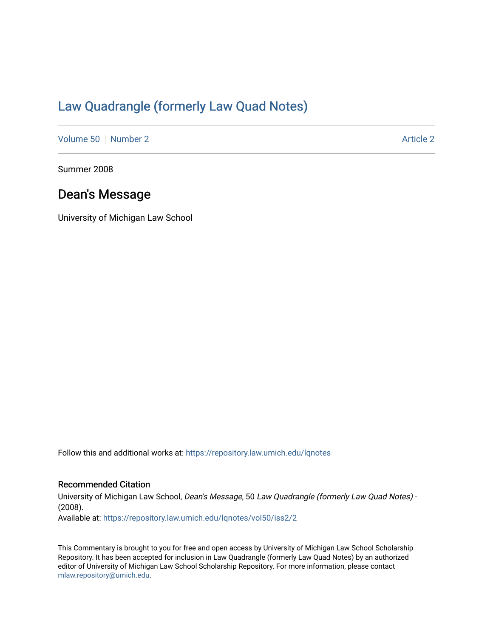# [Law Quadrangle \(formerly Law Quad Notes\)](https://repository.law.umich.edu/lqnotes)

[Volume 50](https://repository.law.umich.edu/lqnotes/vol50) [Number 2](https://repository.law.umich.edu/lqnotes/vol50/iss2) [Article 2](https://repository.law.umich.edu/lqnotes/vol50/iss2/2) Article 2 Article 2 Article 2 Article 2 Article 2 Article 2

Summer 2008

### Dean's Message

University of Michigan Law School

Follow this and additional works at: [https://repository.law.umich.edu/lqnotes](https://repository.law.umich.edu/lqnotes?utm_source=repository.law.umich.edu%2Flqnotes%2Fvol50%2Fiss2%2F2&utm_medium=PDF&utm_campaign=PDFCoverPages) 

### Recommended Citation

University of Michigan Law School, Dean's Message, 50 Law Quadrangle (formerly Law Quad Notes) - (2008). Available at: [https://repository.law.umich.edu/lqnotes/vol50/iss2/2](https://repository.law.umich.edu/lqnotes/vol50/iss2/2?utm_source=repository.law.umich.edu%2Flqnotes%2Fvol50%2Fiss2%2F2&utm_medium=PDF&utm_campaign=PDFCoverPages) 

This Commentary is brought to you for free and open access by University of Michigan Law School Scholarship Repository. It has been accepted for inclusion in Law Quadrangle (formerly Law Quad Notes) by an authorized editor of University of Michigan Law School Scholarship Repository. For more information, please contact [mlaw.repository@umich.edu.](mailto:mlaw.repository@umich.edu)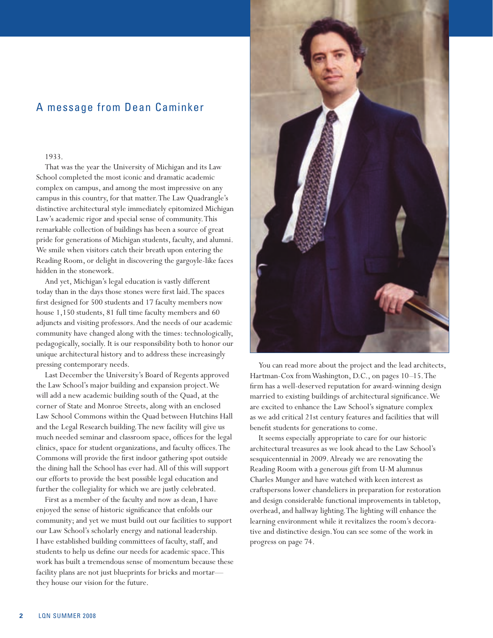## A message from Dean Caminker

#### 1933.

That was the year the University of Michigan and its Law School completed the most iconic and dramatic academic complex on campus, and among the most impressive on any campus in this country, for that matter. The Law Quadrangle's distinctive architectural style immediately epitomized Michigan Law's academic rigor and special sense of community. This remarkable collection of buildings has been a source of great pride for generations of Michigan students, faculty, and alumni. We smile when visitors catch their breath upon entering the Reading Room, or delight in discovering the gargoyle-like faces hidden in the stonework.

And yet, Michigan's legal education is vastly different today than in the days those stones were first laid. The spaces first designed for 500 students and 17 faculty members now house 1,150 students, 81 full time faculty members and 60 adjuncts and visiting professors. And the needs of our academic community have changed along with the times: technologically, pedagogically, socially. It is our responsibility both to honor our unique architectural history and to address these increasingly pressing contemporary needs.

Last December the University's Board of Regents approved the Law School's major building and expansion project. We will add a new academic building south of the Quad, at the corner of State and Monroe Streets, along with an enclosed Law School Commons within the Quad between Hutchins Hall and the Legal Research building. The new facility will give us much needed seminar and classroom space, offices for the legal clinics, space for student organizations, and faculty offices. The Commons will provide the first indoor gathering spot outside the dining hall the School has ever had. All of this will support our efforts to provide the best possible legal education and further the collegiality for which we are justly celebrated.

First as a member of the faculty and now as dean, I have enjoyed the sense of historic significance that enfolds our community; and yet we must build out our facilities to support our Law School's scholarly energy and national leadership. I have established building committees of faculty, staff, and students to help us define our needs for academic space. This work has built a tremendous sense of momentum because these facility plans are not just blueprints for bricks and mortar they house our vision for the future.



You can read more about the project and the lead architects, Hartman-Cox from Washington, D.C., on pages 10–15. The firm has a well-deserved reputation for award-winning design married to existing buildings of architectural significance. We are excited to enhance the Law School's signature complex as we add critical 21st century features and facilities that will benefit students for generations to come.

It seems especially appropriate to care for our historic architectural treasures as we look ahead to the Law School's sesquicentennial in 2009. Already we are renovating the Reading Room with a generous gift from U-M alumnus Charles Munger and have watched with keen interest as craftspersons lower chandeliers in preparation for restoration and design considerable functional improvements in tabletop, overhead, and hallway lighting. The lighting will enhance the learning environment while it revitalizes the room's decorative and distinctive design. You can see some of the work in progress on page 74.